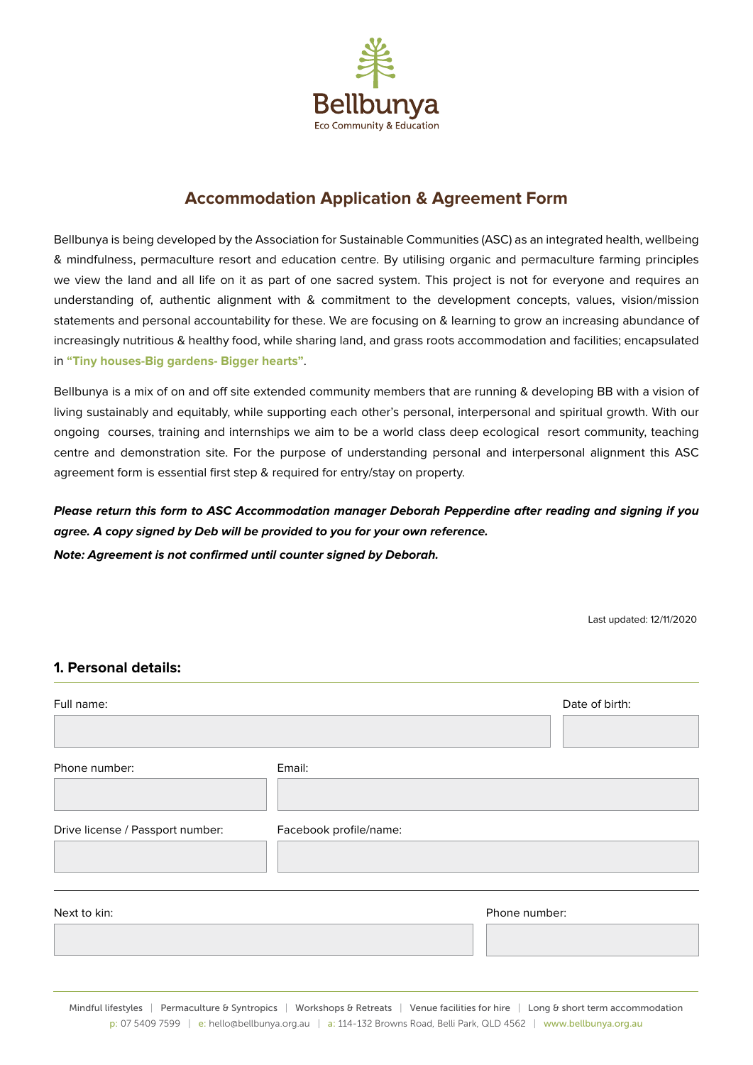

# **Accommodation Application & Agreement Form**

Bellbunya is being developed by the Association for Sustainable Communities (ASC) as an integrated health, wellbeing & mindfulness, permaculture resort and education centre. By utilising organic and permaculture farming principles we view the land and all life on it as part of one sacred system. This project is not for everyone and requires an understanding of, authentic alignment with & commitment to the development concepts, values, vision/mission statements and personal accountability for these. We are focusing on & learning to grow an increasing abundance of increasingly nutritious & healthy food, while sharing land, and grass roots accommodation and facilities; encapsulated in **"Tiny houses-Big gardens- Bigger hearts"**.

Bellbunya is a mix of on and off site extended community members that are running & developing BB with a vision of living sustainably and equitably, while supporting each other's personal, interpersonal and spiritual growth. With our ongoing courses, training and internships we aim to be a world class deep ecological resort community, teaching centre and demonstration site. For the purpose of understanding personal and interpersonal alignment this ASC agreement form is essential first step & required for entry/stay on property.

*Please return this form to ASC Accommodation manager Deborah Pepperdine after reading and signing if you agree. A copy signed by Deb will be provided to you for your own reference. Note: Agreement is not confirmed until counter signed by Deborah.*

Last updated: 12/11/2020

#### **1. Personal details:**

| Full name:                       |                        |               | Date of birth: |
|----------------------------------|------------------------|---------------|----------------|
| Phone number:                    | Email:                 |               |                |
| Drive license / Passport number: | Facebook profile/name: |               |                |
| Next to kin:                     |                        | Phone number: |                |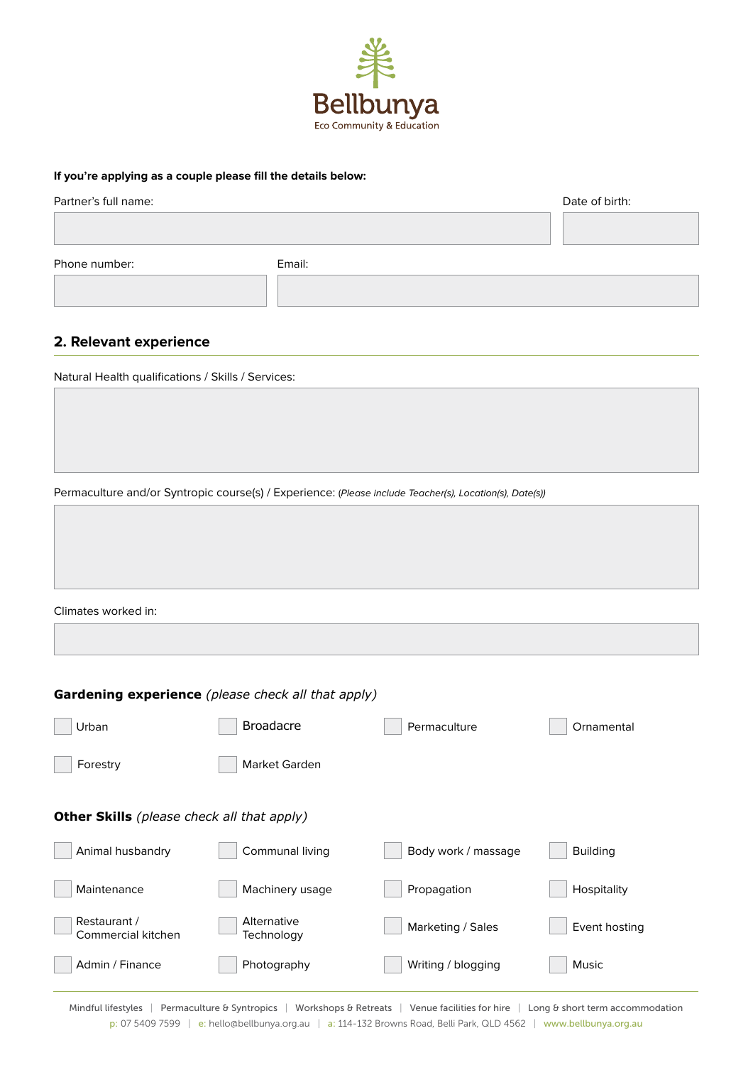

#### **If you're applying as a couple please fill the details below:**

| Partner's full name: |        | Date of birth: |
|----------------------|--------|----------------|
|                      |        |                |
| Phone number:        | Email: |                |
|                      |        |                |

#### **2. Relevant experience**

Natural Health qualifications / Skills / Services:

Permaculture and/or Syntropic course(s) / Experience: (*Please include Teacher(s), Location(s), Date(s))*

| Climates worked in: |  |  |
|---------------------|--|--|

| <b>Gardening experience</b> (please check all that apply) |                           |                     |                 |  |
|-----------------------------------------------------------|---------------------------|---------------------|-----------------|--|
| Urban                                                     | <b>Broadacre</b>          | Permaculture        | Ornamental      |  |
| Forestry                                                  | Market Garden             |                     |                 |  |
| <b>Other Skills</b> (please check all that apply)         |                           |                     |                 |  |
| Animal husbandry                                          | Communal living           | Body work / massage | <b>Building</b> |  |
| Maintenance                                               | Machinery usage           | Propagation         | Hospitality     |  |
| Restaurant /<br>Commercial kitchen                        | Alternative<br>Technology | Marketing / Sales   | Event hosting   |  |
| Admin / Finance                                           | Photography               | Writing / blogging  | <b>Music</b>    |  |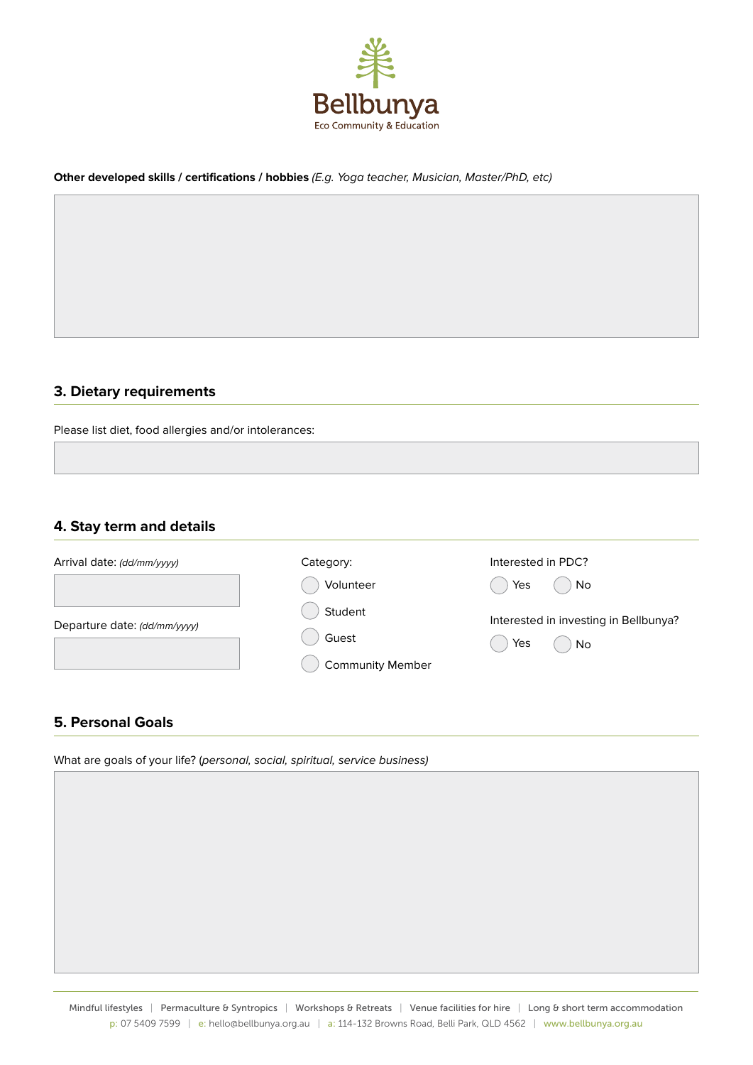

#### **Other developed skills / certifications / hobbies** *(E.g. Yoga teacher, Musician, Master/PhD, etc)*

#### **3. Dietary requirements**

Please list diet, food allergies and/or intolerances:

### **4. Stay term and details**

| Arrival date: (dd/mm/yyyy)   | Category:               | Interested in PDC?                    |
|------------------------------|-------------------------|---------------------------------------|
|                              | Volunteer               | Yes<br>No                             |
| Departure date: (dd/mm/yyyy) | Student                 | Interested in investing in Bellbunya? |
|                              | Guest                   | Yes<br>No                             |
|                              | <b>Community Member</b> |                                       |

#### **5. Personal Goals**

What are goals of your life? (*personal, social, spiritual, service business)*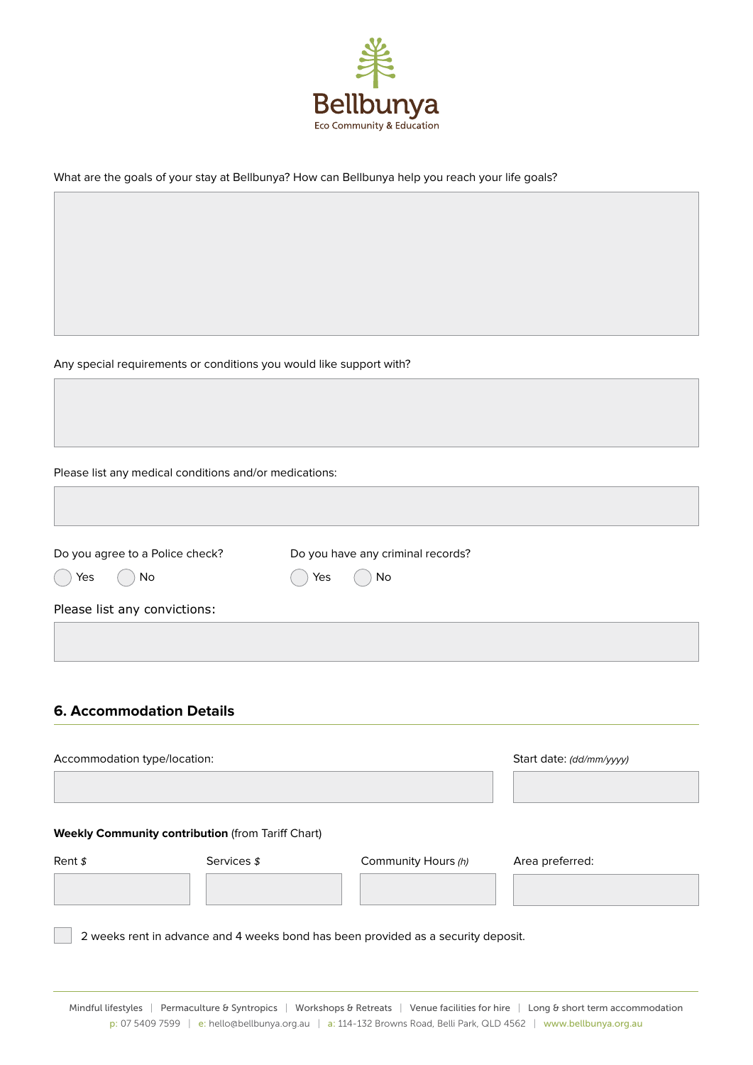

What are the goals of your stay at Bellbunya? How can Bellbunya help you reach your life goals?

Any special requirements or conditions you would like support with?

Please list any medical conditions and/or medications:

| Do you agree to a Police check? | Do you have any criminal records? |  |  |  |
|---------------------------------|-----------------------------------|--|--|--|
| Yes<br>No                       | Yes<br>No                         |  |  |  |
| Please list any convictions:    |                                   |  |  |  |

## **6. Accommodation Details**

| Accommodation type/location:                                                      |             |                     | Start date: (dd/mm/yyyy) |  |
|-----------------------------------------------------------------------------------|-------------|---------------------|--------------------------|--|
| <b>Weekly Community contribution (from Tariff Chart)</b><br>Rent $\frac{s}{2}$    | Services \$ | Community Hours (h) | Area preferred:          |  |
|                                                                                   |             |                     |                          |  |
| 2 weeks rent in advance and 4 weeks bond has been provided as a security deposit. |             |                     |                          |  |